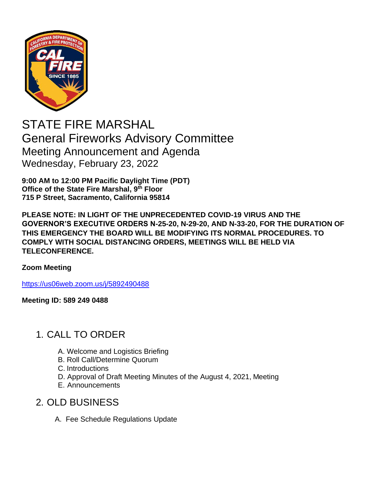

# STATE FIRE MARSHAL General Fireworks Advisory Committee Meeting Announcement and Agenda Wednesday, February 23, 2022

**9:00 AM to 12:00 PM Pacific Daylight Time (PDT) Office of the State Fire Marshal, 9th Floor 715 P Street, Sacramento, California 95814**

**PLEASE NOTE: IN LIGHT OF THE UNPRECEDENTED COVID-19 VIRUS AND THE GOVERNOR'S EXECUTIVE ORDERS N-25-20, N-29-20, AND N-33-20, FOR THE DURATION OF THIS EMERGENCY THE BOARD WILL BE MODIFYING ITS NORMAL PROCEDURES. TO COMPLY WITH SOCIAL DISTANCING ORDERS, MEETINGS WILL BE HELD VIA TELECONFERENCE.**

#### **Zoom Meeting**

[https://us06web.zoom.us/j/5892490488](https://gcc02.safelinks.protection.outlook.com/?url=https%3A%2F%2Fus06web.zoom.us%2Fj%2F5892490488&data=04%7C01%7CVijay.Mepani%40fire.ca.gov%7C9610fbc0e83c41029da408d9e4f0a038%7C447a4ca05405454dad68c98a520261f8%7C1%7C0%7C637792544397022188%7CUnknown%7CTWFpbGZsb3d8eyJWIjoiMC4wLjAwMDAiLCJQIjoiV2luMzIiLCJBTiI6Ik1haWwiLCJXVCI6Mn0%3D%7C3000&sdata=rf29xAVnT1GLRGmXETQixv98%2Fa1R%2F80RTknbtnhLjZY%3D&reserved=0)

**Meeting ID: 589 249 0488**

# 1. CALL TO ORDER

- A. Welcome and Logistics Briefing
- B. Roll Call/Determine Quorum
- C. Introductions
- D. Approval of Draft Meeting Minutes of the August 4, 2021, Meeting
- E. Announcements

#### 2. OLD BUSINESS

A. Fee Schedule Regulations Update